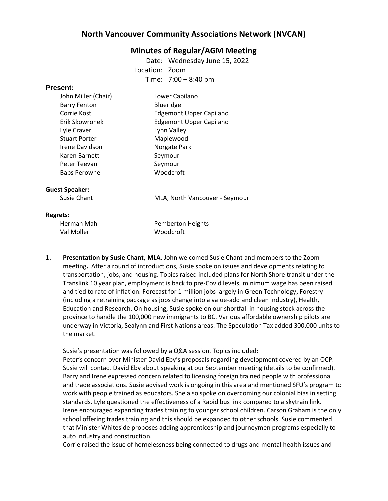# **North Vancouver Community Associations Network (NVCAN)**

# **Minutes of Regular/AGM Meeting**

Date: Wednesday June 15, 2022 Location: Zoom Time: 7:00 – 8:40 pm

## **Present:**

| John Miller (Chair)  | Lower Capilano                 |
|----------------------|--------------------------------|
| <b>Barry Fenton</b>  | Blueridge                      |
| Corrie Kost          | <b>Edgemont Upper Capilano</b> |
| Erik Skowronek       | <b>Edgemont Upper Capilano</b> |
| Lyle Craver          | Lynn Valley                    |
| <b>Stuart Porter</b> | Maplewood                      |
| Irene Davidson       | Norgate Park                   |
| Karen Barnett        | Seymour                        |
| Peter Teevan         | Seymour                        |
| <b>Babs Perowne</b>  | Woodcroft                      |
|                      |                                |

### **Guest Speaker:**

Susie Chant MLA, North Vancouver - Seymour

#### **Regrets:**

| Herman Mah | Pemberton Heights |
|------------|-------------------|
| Val Moller | Woodcroft         |

**1. Presentation by Susie Chant, MLA.** John welcomed Susie Chant and members to the Zoom meeting**.** After a round of introductions, Susie spoke on issues and developments relating to transportation, jobs, and housing. Topics raised included plans for North Shore transit under the Translink 10 year plan, employment is back to pre-Covid levels, minimum wage has been raised and tied to rate of inflation. Forecast for 1 million jobs largely in Green Technology, Forestry (including a retraining package as jobs change into a value-add and clean industry), Health, Education and Research. On housing, Susie spoke on our shortfall in housing stock across the province to handle the 100,000 new immigrants to BC. Various affordable ownership pilots are underway in Victoria, Sealynn and First Nations areas. The Speculation Tax added 300,000 units to the market.

Susie's presentation was followed by a Q&A session. Topics included:

Peter's concern over Minister David Eby's proposals regarding development covered by an OCP. Susie will contact David Eby about speaking at our September meeting (details to be confirmed). Barry and Irene expressed concern related to licensing foreign trained people with professional and trade associations. Susie advised work is ongoing in this area and mentioned SFU's program to work with people trained as educators. She also spoke on overcoming our colonial bias in setting standards. Lyle questioned the effectiveness of a Rapid bus link compared to a skytrain link. Irene encouraged expanding trades training to younger school children. Carson Graham is the only school offering trades training and this should be expanded to other schools. Susie commented that Minister Whiteside proposes adding apprenticeship and journeymen programs especially to auto industry and construction.

Corrie raised the issue of homelessness being connected to drugs and mental health issues and